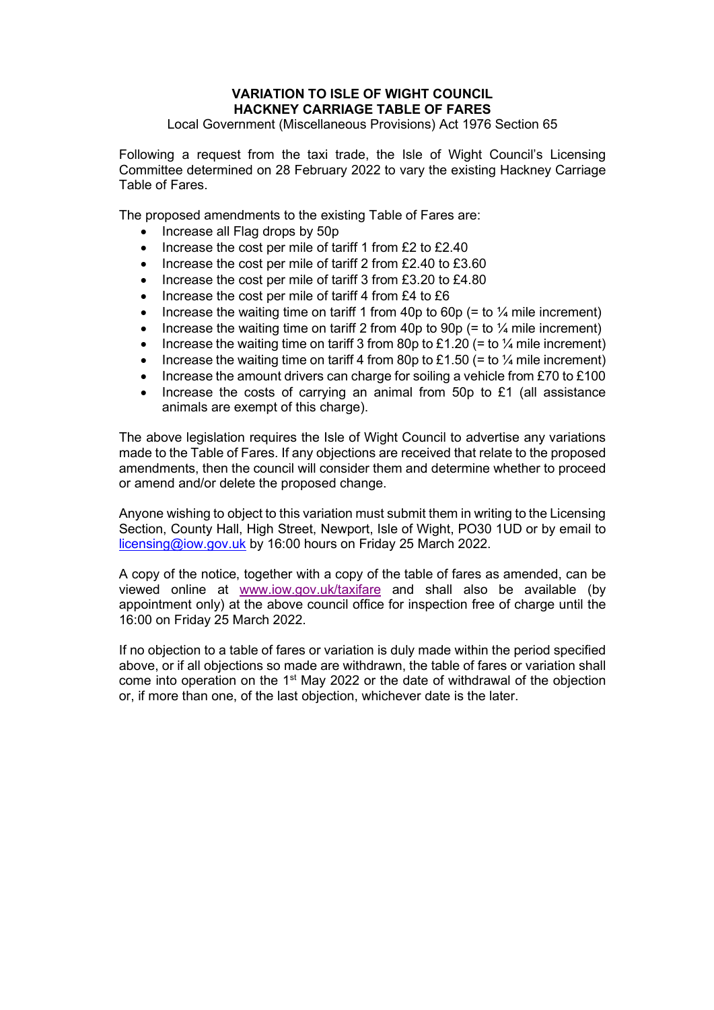## VARIATION TO ISLE OF WIGHT COUNCIL HACKNEY CARRIAGE TABLE OF FARES

Local Government (Miscellaneous Provisions) Act 1976 Section 65

Following a request from the taxi trade, the Isle of Wight Council's Licensing Committee determined on 28 February 2022 to vary the existing Hackney Carriage Table of Fares.

The proposed amendments to the existing Table of Fares are:

- Increase all Flag drops by 50p
- $\bullet$  Increase the cost per mile of tariff 1 from £2 to £2.40
- $\bullet$  Increase the cost per mile of tariff 2 from £2.40 to £3.60
- $\bullet$  Increase the cost per mile of tariff 3 from £3.20 to £4.80
- $\bullet$  Increase the cost per mile of tariff 4 from £4 to £6
- Increase the waiting time on tariff 1 from 40p to 60p (= to  $\frac{1}{4}$  mile increment)
- Increase the waiting time on tariff 2 from 40p to 90p (= to  $\frac{1}{4}$  mile increment)
- Increase the waiting time on tariff 3 from 80p to £1.20 (= to  $\frac{1}{4}$  mile increment)
- Increase the waiting time on tariff 4 from 80p to £1.50 (= to  $\frac{1}{4}$  mile increment)
- Increase the amount drivers can charge for soiling a vehicle from £70 to £100
- Increase the costs of carrying an animal from 50p to £1 (all assistance animals are exempt of this charge).

The above legislation requires the Isle of Wight Council to advertise any variations made to the Table of Fares. If any objections are received that relate to the proposed amendments, then the council will consider them and determine whether to proceed or amend and/or delete the proposed change.

Anyone wishing to object to this variation must submit them in writing to the Licensing Section, County Hall, High Street, Newport, Isle of Wight, PO30 1UD or by email to licensing@iow.gov.uk by 16:00 hours on Friday 25 March 2022.

A copy of the notice, together with a copy of the table of fares as amended, can be viewed online at www.iow.gov.uk/taxifare and shall also be available (by appointment only) at the above council office for inspection free of charge until the 16:00 on Friday 25 March 2022.

If no objection to a table of fares or variation is duly made within the period specified above, or if all objections so made are withdrawn, the table of fares or variation shall come into operation on the 1<sup>st</sup> May 2022 or the date of withdrawal of the objection or, if more than one, of the last objection, whichever date is the later.